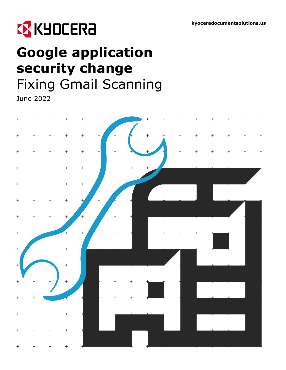

# **Google application security change** Fixing Gmail Scanning

June 2022

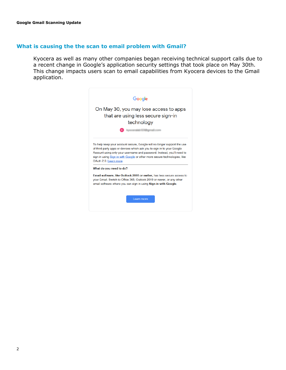## **What is causing the the scan to email problem with Gmail?**

Kyocera as well as many other companies began receiving technical support calls due to a recent change in Google's application security settings that took place on May 30th. This change impacts users scan to email capabilities from Kyocera devices to the Gmail application.

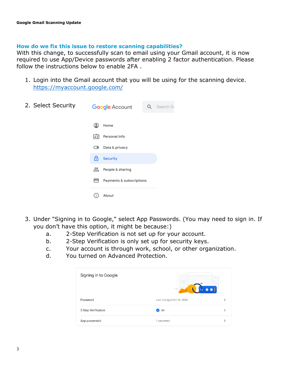## **How do we fix this issue to restore scanning capabilities?**

With this change, to successfully scan to email using your Gmail account, it is now required to use App/Device passwords after enabling 2 factor authentication. Please follow the instructions below to enable 2FA .

1. Login into the Gmail account that you will be using for the scanning device. <https://myaccount.google.com/>



- 3. Under "Signing in to Google," select App Passwords. (You may need to sign in. If you don't have this option, it might be because:)
	- a. 2-Step Verification is not set up for your account.
	- b. 2-Step Verification is only set up for security keys.
	- c. Your account is through work, school, or other organization.
	- d. You turned on Advanced Protection.

| Signing in to Google | $\frac{1}{2} \left( \frac{1}{2} \right) \left( \frac{1}{2} \right) \left( \frac{1}{2} \right) \left( \frac{1}{2} \right) \left( \frac{1}{2} \right) \left( \frac{1}{2} \right) \left( \frac{1}{2} \right) \left( \frac{1}{2} \right) \left( \frac{1}{2} \right) \left( \frac{1}{2} \right) \left( \frac{1}{2} \right) \left( \frac{1}{2} \right) \left( \frac{1}{2} \right) \left( \frac{1}{2} \right) \left( \frac{1}{2} \right) \left( \frac{1}{2} \right) \left( \frac$<br>$\sim$<br>æ |  |
|----------------------|-------------------------------------------------------------------------------------------------------------------------------------------------------------------------------------------------------------------------------------------------------------------------------------------------------------------------------------------------------------------------------------------------------------------------------------------------------------------------------------------|--|
| Password             | Last changed Oct 16, 2020                                                                                                                                                                                                                                                                                                                                                                                                                                                                 |  |
| 2-Step Verification  | On<br>$\checkmark$                                                                                                                                                                                                                                                                                                                                                                                                                                                                        |  |
| App passwords        | 1 password                                                                                                                                                                                                                                                                                                                                                                                                                                                                                |  |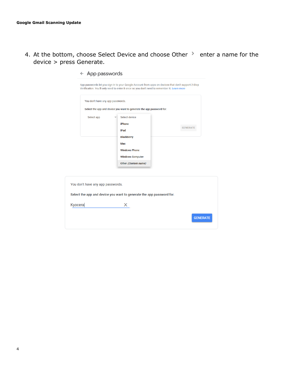4. At the bottom, choose Select Device and choose Other  $\rightarrow$  enter a name for the device > press Generate.

|                                   | App passwords let you sign in to your Google Account from apps on devices that don't support 2-Step<br>Verification. You'll only need to enter it once so you don't need to remember it. Learn more |                 |
|-----------------------------------|-----------------------------------------------------------------------------------------------------------------------------------------------------------------------------------------------------|-----------------|
| You don't have any app passwords. |                                                                                                                                                                                                     |                 |
|                                   | Select the app and device you want to generate the app password for.                                                                                                                                |                 |
| Select app                        | Select device<br><b>iPhone</b><br>iPad<br><b>BlackBerry</b><br>Mac<br><b>Windows Phone</b><br><b>Windows Computer</b><br>Other (Custom name)                                                        | <b>GENERATE</b> |
| You don't have any app passwords. | Select the app and device you want to generate the app password for.                                                                                                                                |                 |
| Kyocera                           | x                                                                                                                                                                                                   |                 |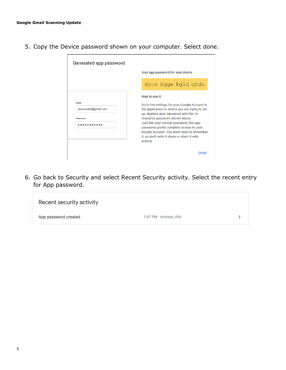5. Copy the Device password shown on your computer. Select done.

| <b>Generated app password</b>              |                                                                                                                                                                                                                                                                                                                                                                                               |
|--------------------------------------------|-----------------------------------------------------------------------------------------------------------------------------------------------------------------------------------------------------------------------------------------------------------------------------------------------------------------------------------------------------------------------------------------------|
|                                            | Your app password for your device                                                                                                                                                                                                                                                                                                                                                             |
|                                            | dzcs bggw kgid gtdo                                                                                                                                                                                                                                                                                                                                                                           |
| Email<br>securesally@gmail.com<br>Password | How to use it<br>Go to the settings for your Google Account in<br>the application or device you are trying to set<br>up. Replace your password with the 16-<br>character password shown above.<br>Just like your normal password, this app<br>password grants complete access to your<br>Google Account. You won't need to remember<br>it, so don't write it down or share it with<br>anyone. |
|                                            | <b>DONE</b>                                                                                                                                                                                                                                                                                                                                                                                   |

6. Go back to Security and select Recent Security activity. Select the recent entry for App password.

| Recent security activity |                        |  |
|--------------------------|------------------------|--|
| App password created     | 1:07 PM · Arizona, USA |  |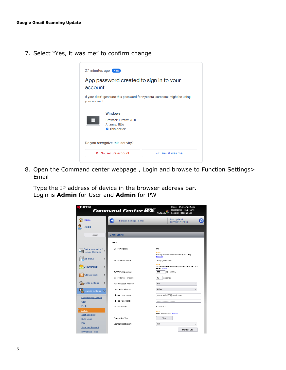7. Select "Yes, it was me" to confirm change



8. Open the Command center webpage , Login and browse to Function Settings> Email

Type the IP address of device in the browser address bar. Login is **Admin** for User and **Admin** for PW

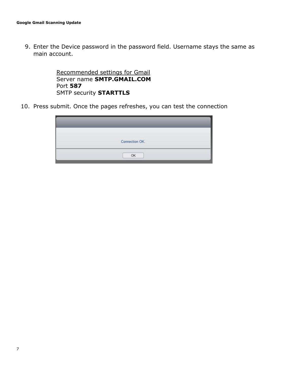9. Enter the Device password in the password field. Username stays the same as main account.

> Recommended settings for Gmail Server name **SMTP.GMAIL.COM** Port **587** SMTP security **STARTTLS**

10. Press submit. Once the pages refreshes, you can test the connection

| Connection OK. |  |
|----------------|--|
| $\bigcap K$    |  |